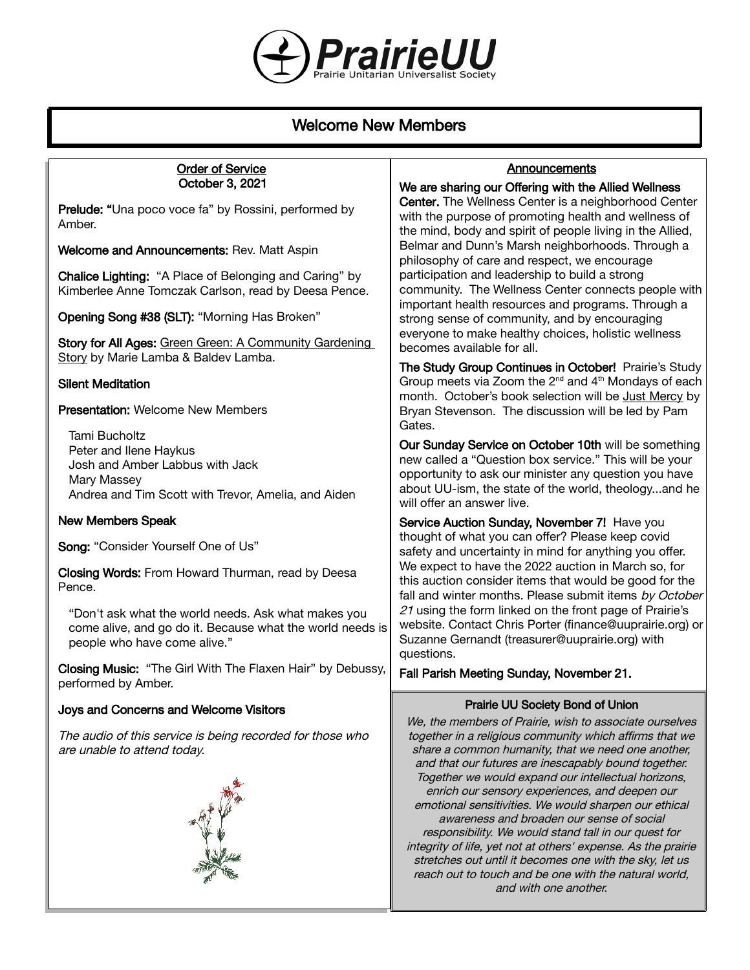

# Welcome New Members

#### Order of Service October 3, 2021

Prelude: "Una poco voce fa" by Rossini, performed by Amber.

Welcome and Announcements: Rev. Matt Aspin

Chalice Lighting: "A Place of Belonging and Caring" by Kimberlee Anne Tomczak Carlson, read by Deesa Pence.

Opening Song #38 (SLT): "Morning Has Broken"

Story for All Ages: Green Green: A Community Gardening Story by Marie Lamba & Baldev Lamba.

## Silent Meditation

## Presentation: Welcome New Members

Tami Bucholtz Peter and Ilene Haykus Josh and Amber Labbus with Jack Mary Massey Andrea and Tim Scott with Trevor, Amelia, and Aiden

## New Members Speak

Song: "Consider Yourself One of Us"

Closing Words: From Howard Thurman, read by Deesa Pence.

"Don't ask what the world needs. Ask what makes you come alive, and go do it. Because what the world needs is people who have come alive."

Closing Music: "The Girl With The Flaxen Hair" by Debussy, performed by Amber.

#### Joys and Concerns and Welcome Visitors

The audio of this service is being recorded for those who are unable to attend today.



## **Announcements**

We are sharing our Offering with the Allied Wellness Center. The Wellness Center is a neighborhood Center with the purpose of promoting health and wellness of the mind, body and spirit of people living in the Allied, Belmar and Dunn's Marsh neighborhoods. Through a philosophy of care and respect, we encourage participation and leadership to build a strong community. The Wellness Center connects people with important health resources and programs. Through a strong sense of community, and by encouraging everyone to make healthy choices, holistic wellness becomes available for all.

The Study Group Continues in October! Prairie's Study Group meets via Zoom the  $2^{nd}$  and  $4^{th}$  Mondays of each month. October's book selection will be Just Mercy by Bryan Stevenson. The discussion will be led by Pam Gates.

Our Sunday Service on October 10th will be something new called a "Question box service." This will be your opportunity to ask our minister any question you have about UU-ism, the state of the world, theology...and he will offer an answer live.

Service Auction Sunday, November 7! Have you thought of what you can offer? Please keep covid safety and uncertainty in mind for anything you offer. We expect to have the 2022 auction in March so, for this auction consider items that would be good for the fall and winter months. Please submit items by October 21 using the form linked on the front page of Prairie's website. Contact Chris Porter (finance@uuprairie.org) or Suzanne Gernandt (treasurer@uuprairie.org) with questions.

Fall Parish Meeting Sunday, November 21.

## Prairie UU Society Bond of Union

We, the members of Prairie, wish to associate ourselves together in a religious community which affirms that we share a common humanity, that we need one another, and that our futures are inescapably bound together. Together we would expand our intellectual horizons, enrich our sensory experiences, and deepen our emotional sensitivities. We would sharpen our ethical awareness and broaden our sense of social responsibility. We would stand tall in our quest for integrity of life, yet not at others' expense. As the prairie stretches out until it becomes one with the sky, let us reach out to touch and be one with the natural world, and with one another.